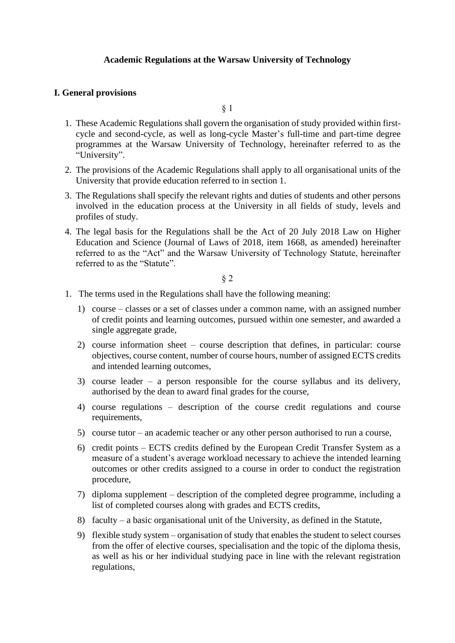# **Academic Regulations at the Warsaw University of Technology**

# **I. General provisions**

§ 1

- 1. These Academic Regulations shall govern the organisation of study provided within firstcycle and second-cycle, as well as long-cycle Master's full-time and part-time degree programmes at the Warsaw University of Technology, hereinafter referred to as the "University".
- 2. The provisions of the Academic Regulations shall apply to all organisational units of the University that provide education referred to in section 1.
- 3. The Regulations shall specify the relevant rights and duties of students and other persons involved in the education process at the University in all fields of study, levels and profiles of study.
- 4. The legal basis for the Regulations shall be the Act of 20 July 2018 Law on Higher Education and Science (Journal of Laws of 2018, item 1668, as amended) hereinafter referred to as the "Act" and the Warsaw University of Technology Statute, hereinafter referred to as the "Statute".

- 1. The terms used in the Regulations shall have the following meaning:
	- 1) course classes or a set of classes under a common name, with an assigned number of credit points and learning outcomes, pursued within one semester, and awarded a single aggregate grade,
	- 2) course information sheet course description that defines, in particular: course objectives, course content, number of course hours, number of assigned ECTS credits and intended learning outcomes,
	- 3) course leader a person responsible for the course syllabus and its delivery, authorised by the dean to award final grades for the course,
	- 4) course regulations description of the course credit regulations and course requirements,
	- 5) course tutor an academic teacher or any other person authorised to run a course,
	- 6) credit points ECTS credits defined by the European Credit Transfer System as a measure of a student's average workload necessary to achieve the intended learning outcomes or other credits assigned to a course in order to conduct the registration procedure,
	- 7) diploma supplement description of the completed degree programme, including a list of completed courses along with grades and ECTS credits,
	- 8) faculty a basic organisational unit of the University, as defined in the Statute,
	- 9) flexible study system organisation of study that enables the student to select courses from the offer of elective courses, specialisation and the topic of the diploma thesis, as well as his or her individual studying pace in line with the relevant registration regulations,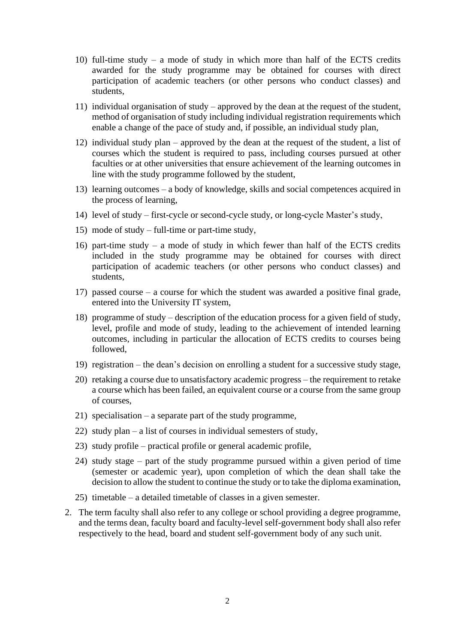- 10) full-time study a mode of study in which more than half of the ECTS credits awarded for the study programme may be obtained for courses with direct participation of academic teachers (or other persons who conduct classes) and students,
- 11) individual organisation of study approved by the dean at the request of the student, method of organisation of study including individual registration requirements which enable a change of the pace of study and, if possible, an individual study plan,
- 12) individual study plan approved by the dean at the request of the student, a list of courses which the student is required to pass, including courses pursued at other faculties or at other universities that ensure achievement of the learning outcomes in line with the study programme followed by the student,
- 13) learning outcomes a body of knowledge, skills and social competences acquired in the process of learning,
- 14) level of study first-cycle or second-cycle study, or long-cycle Master's study,
- 15) mode of study full-time or part-time study,
- 16) part-time study a mode of study in which fewer than half of the ECTS credits included in the study programme may be obtained for courses with direct participation of academic teachers (or other persons who conduct classes) and students,
- 17) passed course a course for which the student was awarded a positive final grade, entered into the University IT system,
- 18) programme of study description of the education process for a given field of study, level, profile and mode of study, leading to the achievement of intended learning outcomes, including in particular the allocation of ECTS credits to courses being followed,
- 19) registration the dean's decision on enrolling a student for a successive study stage,
- 20) retaking a course due to unsatisfactory academic progress the requirement to retake a course which has been failed, an equivalent course or a course from the same group of courses,
- 21) specialisation a separate part of the study programme,
- 22) study plan a list of courses in individual semesters of study,
- 23) study profile practical profile or general academic profile,
- 24) study stage part of the study programme pursued within a given period of time (semester or academic year), upon completion of which the dean shall take the decision to allow the student to continue the study or to take the diploma examination,
- 25) timetable a detailed timetable of classes in a given semester.
- 2. The term faculty shall also refer to any college or school providing a degree programme, and the terms dean, faculty board and faculty-level self-government body shall also refer respectively to the head, board and student self-government body of any such unit.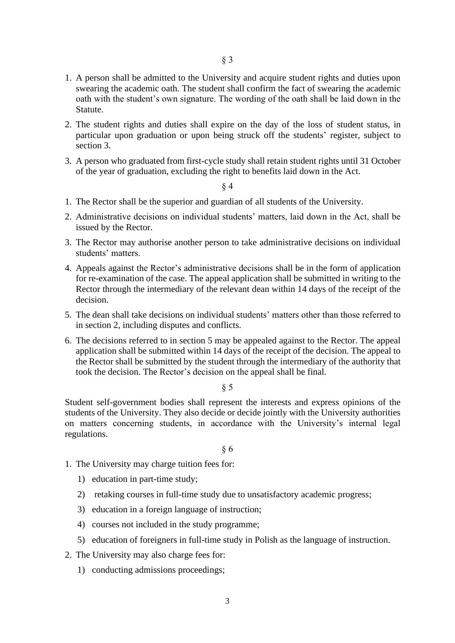- 1. A person shall be admitted to the University and acquire student rights and duties upon swearing the academic oath. The student shall confirm the fact of swearing the academic oath with the student's own signature. The wording of the oath shall be laid down in the Statute.
- 2. The student rights and duties shall expire on the day of the loss of student status, in particular upon graduation or upon being struck off the students' register, subject to section 3.
- 3. A person who graduated from first-cycle study shall retain student rights until 31 October of the year of graduation, excluding the right to benefits laid down in the Act.

- 1. The Rector shall be the superior and guardian of all students of the University.
- 2. Administrative decisions on individual students' matters, laid down in the Act, shall be issued by the Rector.
- 3. The Rector may authorise another person to take administrative decisions on individual students' matters.
- 4. Appeals against the Rector's administrative decisions shall be in the form of application for re-examination of the case. The appeal application shall be submitted in writing to the Rector through the intermediary of the relevant dean within 14 days of the receipt of the decision.
- 5. The dean shall take decisions on individual students' matters other than those referred to in section 2, including disputes and conflicts.
- 6. The decisions referred to in section 5 may be appealed against to the Rector. The appeal application shall be submitted within 14 days of the receipt of the decision. The appeal to the Rector shall be submitted by the student through the intermediary of the authority that took the decision. The Rector's decision on the appeal shall be final.

§ 5

Student self-government bodies shall represent the interests and express opinions of the students of the University. They also decide or decide jointly with the University authorities on matters concerning students, in accordance with the University's internal legal regulations.

- 1. The University may charge tuition fees for:
	- 1) education in part-time study;
	- 2) retaking courses in full-time study due to unsatisfactory academic progress;
	- 3) education in a foreign language of instruction;
	- 4) courses not included in the study programme;
	- 5) education of foreigners in full-time study in Polish as the language of instruction.
- 2. The University may also charge fees for:
	- 1) conducting admissions proceedings;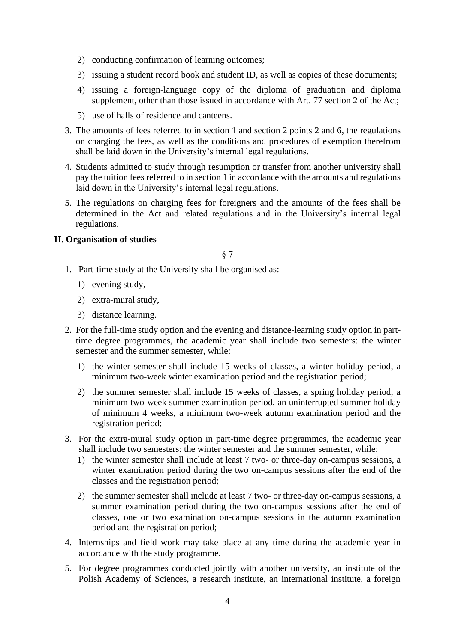- 2) conducting confirmation of learning outcomes;
- 3) issuing a student record book and student ID, as well as copies of these documents;
- 4) issuing a foreign-language copy of the diploma of graduation and diploma supplement, other than those issued in accordance with Art. 77 section 2 of the Act;
- 5) use of halls of residence and canteens.
- 3. The amounts of fees referred to in section 1 and section 2 points 2 and 6, the regulations on charging the fees, as well as the conditions and procedures of exemption therefrom shall be laid down in the University's internal legal regulations.
- 4. Students admitted to study through resumption or transfer from another university shall pay the tuition fees referred to in section 1 in accordance with the amounts and regulations laid down in the University's internal legal regulations.
- 5. The regulations on charging fees for foreigners and the amounts of the fees shall be determined in the Act and related regulations and in the University's internal legal regulations.

### **II**. **Organisation of studies**

- 1. Part-time study at the University shall be organised as:
	- 1) evening study,
	- 2) extra-mural study,
	- 3) distance learning.
- 2. For the full-time study option and the evening and distance-learning study option in parttime degree programmes, the academic year shall include two semesters: the winter semester and the summer semester, while:
	- 1) the winter semester shall include 15 weeks of classes, a winter holiday period, a minimum two-week winter examination period and the registration period;
	- 2) the summer semester shall include 15 weeks of classes, a spring holiday period, a minimum two-week summer examination period, an uninterrupted summer holiday of minimum 4 weeks, a minimum two-week autumn examination period and the registration period;
- 3. For the extra-mural study option in part-time degree programmes, the academic year shall include two semesters: the winter semester and the summer semester, while:
	- 1) the winter semester shall include at least 7 two- or three-day on-campus sessions, a winter examination period during the two on-campus sessions after the end of the classes and the registration period;
	- 2) the summer semester shall include at least 7 two- or three-day on-campus sessions, a summer examination period during the two on-campus sessions after the end of classes, one or two examination on-campus sessions in the autumn examination period and the registration period;
- 4. Internships and field work may take place at any time during the academic year in accordance with the study programme.
- 5. For degree programmes conducted jointly with another university, an institute of the Polish Academy of Sciences, a research institute, an international institute, a foreign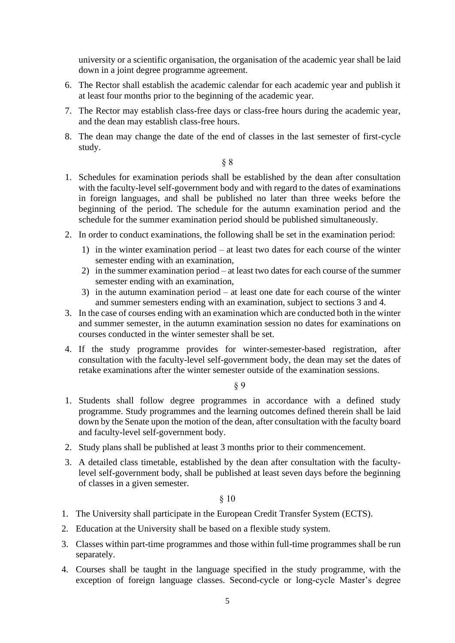university or a scientific organisation, the organisation of the academic year shall be laid down in a joint degree programme agreement.

- 6. The Rector shall establish the academic calendar for each academic year and publish it at least four months prior to the beginning of the academic year.
- 7. The Rector may establish class-free days or class-free hours during the academic year, and the dean may establish class-free hours.
- 8. The dean may change the date of the end of classes in the last semester of first-cycle study.

§ 8

- 1. Schedules for examination periods shall be established by the dean after consultation with the faculty-level self-government body and with regard to the dates of examinations in foreign languages, and shall be published no later than three weeks before the beginning of the period. The schedule for the autumn examination period and the schedule for the summer examination period should be published simultaneously.
- 2. In order to conduct examinations, the following shall be set in the examination period:
	- 1) in the winter examination period at least two dates for each course of the winter semester ending with an examination,
	- 2) in the summer examination period at least two dates for each course of the summer semester ending with an examination,
	- 3) in the autumn examination period at least one date for each course of the winter and summer semesters ending with an examination, subject to sections 3 and 4.
- 3. In the case of courses ending with an examination which are conducted both in the winter and summer semester, in the autumn examination session no dates for examinations on courses conducted in the winter semester shall be set.
- 4. If the study programme provides for winter-semester-based registration, after consultation with the faculty-level self-government body, the dean may set the dates of retake examinations after the winter semester outside of the examination sessions.

§ 9

- 1. Students shall follow degree programmes in accordance with a defined study programme. Study programmes and the learning outcomes defined therein shall be laid down by the Senate upon the motion of the dean, after consultation with the faculty board and faculty-level self-government body.
- 2. Study plans shall be published at least 3 months prior to their commencement.
- 3. A detailed class timetable, established by the dean after consultation with the facultylevel self-government body, shall be published at least seven days before the beginning of classes in a given semester.

- 1. The University shall participate in the European Credit Transfer System (ECTS).
- 2. Education at the University shall be based on a flexible study system.
- 3. Classes within part-time programmes and those within full-time programmes shall be run separately.
- 4. Courses shall be taught in the language specified in the study programme, with the exception of foreign language classes. Second-cycle or long-cycle Master's degree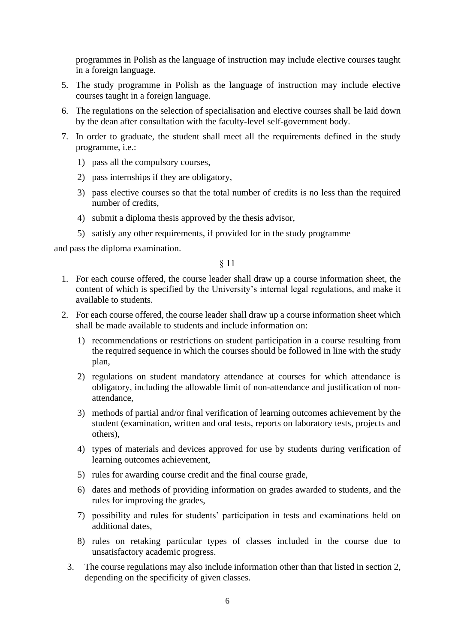programmes in Polish as the language of instruction may include elective courses taught in a foreign language.

- 5. The study programme in Polish as the language of instruction may include elective courses taught in a foreign language.
- 6. The regulations on the selection of specialisation and elective courses shall be laid down by the dean after consultation with the faculty-level self-government body.
- 7. In order to graduate, the student shall meet all the requirements defined in the study programme, i.e.:
	- 1) pass all the compulsory courses,
	- 2) pass internships if they are obligatory,
	- 3) pass elective courses so that the total number of credits is no less than the required number of credits,
	- 4) submit a diploma thesis approved by the thesis advisor,
	- 5) satisfy any other requirements, if provided for in the study programme

and pass the diploma examination.

- 1. For each course offered, the course leader shall draw up a course information sheet, the content of which is specified by the University's internal legal regulations, and make it available to students.
- 2. For each course offered, the course leader shall draw up a course information sheet which shall be made available to students and include information on:
	- 1) recommendations or restrictions on student participation in a course resulting from the required sequence in which the courses should be followed in line with the study plan,
	- 2) regulations on student mandatory attendance at courses for which attendance is obligatory, including the allowable limit of non-attendance and justification of nonattendance,
	- 3) methods of partial and/or final verification of learning outcomes achievement by the student (examination, written and oral tests, reports on laboratory tests, projects and others),
	- 4) types of materials and devices approved for use by students during verification of learning outcomes achievement,
	- 5) rules for awarding course credit and the final course grade,
	- 6) dates and methods of providing information on grades awarded to students, and the rules for improving the grades,
	- 7) possibility and rules for students' participation in tests and examinations held on additional dates,
	- 8) rules on retaking particular types of classes included in the course due to unsatisfactory academic progress.
	- 3. The course regulations may also include information other than that listed in section 2, depending on the specificity of given classes.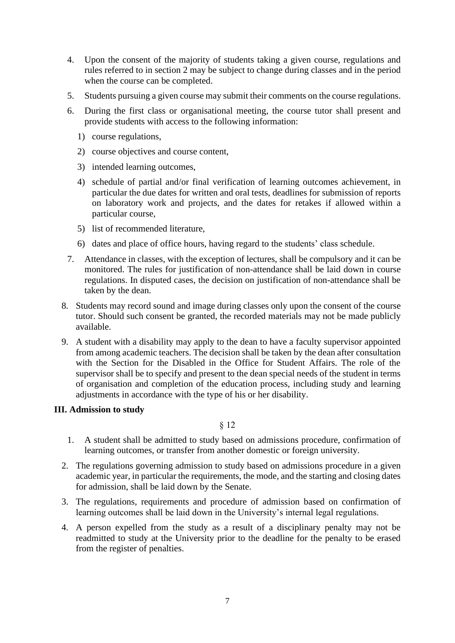- 4. Upon the consent of the majority of students taking a given course, regulations and rules referred to in section 2 may be subject to change during classes and in the period when the course can be completed.
- 5. Students pursuing a given course may submit their comments on the course regulations.
- 6. During the first class or organisational meeting, the course tutor shall present and provide students with access to the following information:
	- 1) course regulations,
	- 2) course objectives and course content,
	- 3) intended learning outcomes,
	- 4) schedule of partial and/or final verification of learning outcomes achievement, in particular the due dates for written and oral tests, deadlines for submission of reports on laboratory work and projects, and the dates for retakes if allowed within a particular course,
	- 5) list of recommended literature,
	- 6) dates and place of office hours, having regard to the students' class schedule.
- 7. Attendance in classes, with the exception of lectures, shall be compulsory and it can be monitored. The rules for justification of non-attendance shall be laid down in course regulations. In disputed cases, the decision on justification of non-attendance shall be taken by the dean.
- 8. Students may record sound and image during classes only upon the consent of the course tutor. Should such consent be granted, the recorded materials may not be made publicly available.
- 9. A student with a disability may apply to the dean to have a faculty supervisor appointed from among academic teachers. The decision shall be taken by the dean after consultation with the Section for the Disabled in the Office for Student Affairs. The role of the supervisor shall be to specify and present to the dean special needs of the student in terms of organisation and completion of the education process, including study and learning adjustments in accordance with the type of his or her disability.

### **III. Admission to study**

- 1. A student shall be admitted to study based on admissions procedure, confirmation of learning outcomes, or transfer from another domestic or foreign university.
- 2. The regulations governing admission to study based on admissions procedure in a given academic year, in particular the requirements, the mode, and the starting and closing dates for admission, shall be laid down by the Senate.
- 3. The regulations, requirements and procedure of admission based on confirmation of learning outcomes shall be laid down in the University's internal legal regulations.
- 4. A person expelled from the study as a result of a disciplinary penalty may not be readmitted to study at the University prior to the deadline for the penalty to be erased from the register of penalties.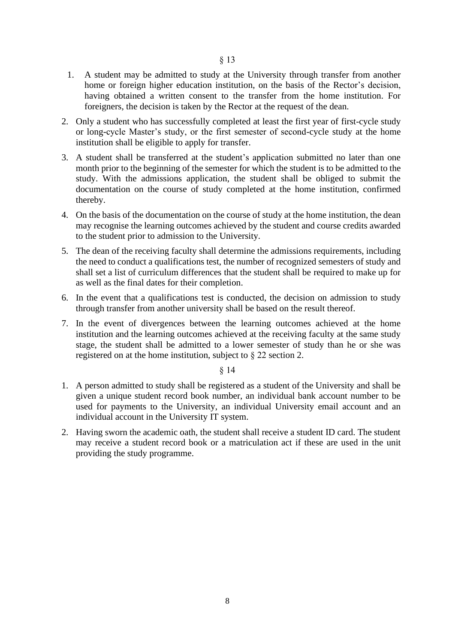- 1. A student may be admitted to study at the University through transfer from another home or foreign higher education institution, on the basis of the Rector's decision, having obtained a written consent to the transfer from the home institution. For foreigners, the decision is taken by the Rector at the request of the dean.
- 2. Only a student who has successfully completed at least the first year of first-cycle study or long-cycle Master's study, or the first semester of second-cycle study at the home institution shall be eligible to apply for transfer.
- 3. A student shall be transferred at the student's application submitted no later than one month prior to the beginning of the semester for which the student is to be admitted to the study. With the admissions application, the student shall be obliged to submit the documentation on the course of study completed at the home institution, confirmed thereby.
- 4. On the basis of the documentation on the course of study at the home institution, the dean may recognise the learning outcomes achieved by the student and course credits awarded to the student prior to admission to the University.
- 5. The dean of the receiving faculty shall determine the admissions requirements, including the need to conduct a qualifications test, the number of recognized semesters of study and shall set a list of curriculum differences that the student shall be required to make up for as well as the final dates for their completion.
- 6. In the event that a qualifications test is conducted, the decision on admission to study through transfer from another university shall be based on the result thereof.
- 7. In the event of divergences between the learning outcomes achieved at the home institution and the learning outcomes achieved at the receiving faculty at the same study stage, the student shall be admitted to a lower semester of study than he or she was registered on at the home institution, subject to § 22 section 2.

- 1. A person admitted to study shall be registered as a student of the University and shall be given a unique student record book number, an individual bank account number to be used for payments to the University, an individual University email account and an individual account in the University IT system.
- 2. Having sworn the academic oath, the student shall receive a student ID card. The student may receive a student record book or a matriculation act if these are used in the unit providing the study programme.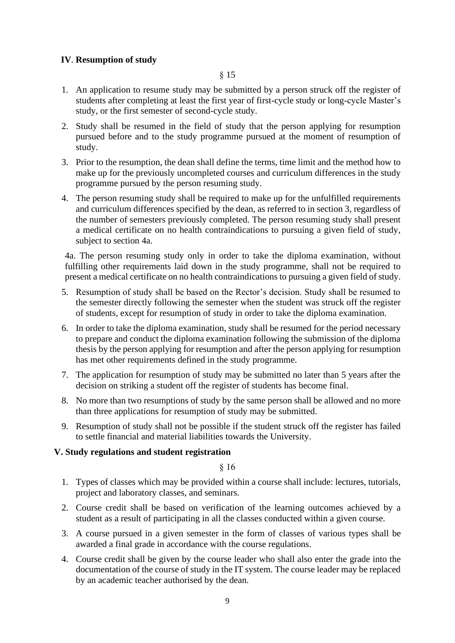# **IV**. **Resumption of study**

- 1. An application to resume study may be submitted by a person struck off the register of students after completing at least the first year of first-cycle study or long-cycle Master's study, or the first semester of second-cycle study.
- 2. Study shall be resumed in the field of study that the person applying for resumption pursued before and to the study programme pursued at the moment of resumption of study.
- 3. Prior to the resumption, the dean shall define the terms, time limit and the method how to make up for the previously uncompleted courses and curriculum differences in the study programme pursued by the person resuming study.
- 4. The person resuming study shall be required to make up for the unfulfilled requirements and curriculum differences specified by the dean, as referred to in section 3, regardless of the number of semesters previously completed. The person resuming study shall present a medical certificate on no health contraindications to pursuing a given field of study, subject to section 4a.

4a. The person resuming study only in order to take the diploma examination, without fulfilling other requirements laid down in the study programme, shall not be required to present a medical certificate on no health contraindications to pursuing a given field of study.

- 5. Resumption of study shall be based on the Rector's decision. Study shall be resumed to the semester directly following the semester when the student was struck off the register of students, except for resumption of study in order to take the diploma examination.
- 6. In order to take the diploma examination, study shall be resumed for the period necessary to prepare and conduct the diploma examination following the submission of the diploma thesis by the person applying for resumption and after the person applying for resumption has met other requirements defined in the study programme.
- 7. The application for resumption of study may be submitted no later than 5 years after the decision on striking a student off the register of students has become final.
- 8. No more than two resumptions of study by the same person shall be allowed and no more than three applications for resumption of study may be submitted.
- 9. Resumption of study shall not be possible if the student struck off the register has failed to settle financial and material liabilities towards the University.

### **V. Study regulations and student registration**

- 1. Types of classes which may be provided within a course shall include: lectures, tutorials, project and laboratory classes, and seminars.
- 2. Course credit shall be based on verification of the learning outcomes achieved by a student as a result of participating in all the classes conducted within a given course.
- 3. A course pursued in a given semester in the form of classes of various types shall be awarded a final grade in accordance with the course regulations.
- 4. Course credit shall be given by the course leader who shall also enter the grade into the documentation of the course of study in the IT system. The course leader may be replaced by an academic teacher authorised by the dean.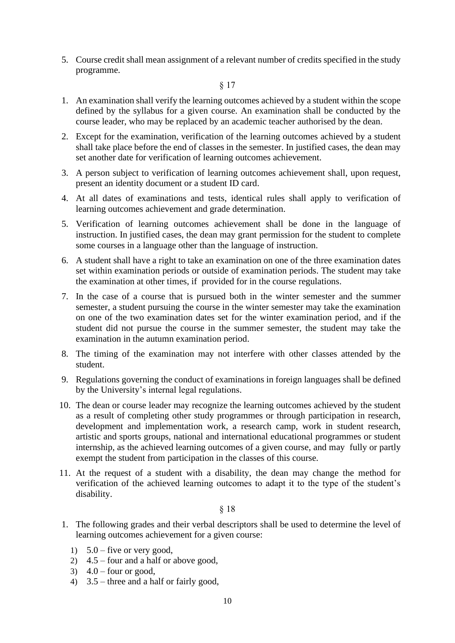5. Course credit shall mean assignment of a relevant number of credits specified in the study programme.

#### § 17

- 1. An examination shall verify the learning outcomes achieved by a student within the scope defined by the syllabus for a given course. An examination shall be conducted by the course leader, who may be replaced by an academic teacher authorised by the dean.
- 2. Except for the examination, verification of the learning outcomes achieved by a student shall take place before the end of classes in the semester. In justified cases, the dean may set another date for verification of learning outcomes achievement.
- 3. A person subject to verification of learning outcomes achievement shall, upon request, present an identity document or a student ID card.
- 4. At all dates of examinations and tests, identical rules shall apply to verification of learning outcomes achievement and grade determination.
- 5. Verification of learning outcomes achievement shall be done in the language of instruction. In justified cases, the dean may grant permission for the student to complete some courses in a language other than the language of instruction.
- 6. A student shall have a right to take an examination on one of the three examination dates set within examination periods or outside of examination periods. The student may take the examination at other times, if provided for in the course regulations.
- 7. In the case of a course that is pursued both in the winter semester and the summer semester, a student pursuing the course in the winter semester may take the examination on one of the two examination dates set for the winter examination period, and if the student did not pursue the course in the summer semester, the student may take the examination in the autumn examination period.
- 8. The timing of the examination may not interfere with other classes attended by the student.
- 9. Regulations governing the conduct of examinations in foreign languages shall be defined by the University's internal legal regulations.
- 10. The dean or course leader may recognize the learning outcomes achieved by the student as a result of completing other study programmes or through participation in research, development and implementation work, a research camp, work in student research, artistic and sports groups, national and international educational programmes or student internship, as the achieved learning outcomes of a given course, and may fully or partly exempt the student from participation in the classes of this course.
- 11. At the request of a student with a disability, the dean may change the method for verification of the achieved learning outcomes to adapt it to the type of the student's disability.

- 1. The following grades and their verbal descriptors shall be used to determine the level of learning outcomes achievement for a given course:
	- 1)  $5.0$  five or very good,
	- 2) 4.5 four and a half or above good,
	- 3)  $4.0$  four or good,
	- 4) 3.5 three and a half or fairly good,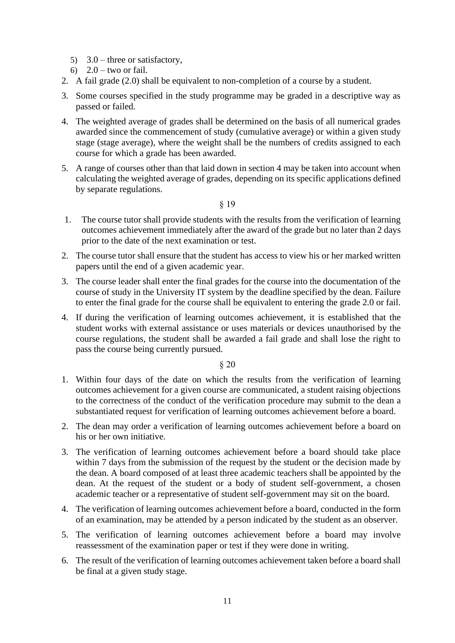- 5) 3.0 three or satisfactory,
- 6)  $2.0 -$  two or fail.
- 2. A fail grade (2.0) shall be equivalent to non-completion of a course by a student.
- 3. Some courses specified in the study programme may be graded in a descriptive way as passed or failed.
- 4. The weighted average of grades shall be determined on the basis of all numerical grades awarded since the commencement of study (cumulative average) or within a given study stage (stage average), where the weight shall be the numbers of credits assigned to each course for which a grade has been awarded.
- 5. A range of courses other than that laid down in section 4 may be taken into account when calculating the weighted average of grades, depending on its specific applications defined by separate regulations.
	- § 19
- 1. The course tutor shall provide students with the results from the verification of learning outcomes achievement immediately after the award of the grade but no later than 2 days prior to the date of the next examination or test.
- 2. The course tutor shall ensure that the student has access to view his or her marked written papers until the end of a given academic year.
- 3. The course leader shall enter the final grades for the course into the documentation of the course of study in the University IT system by the deadline specified by the dean. Failure to enter the final grade for the course shall be equivalent to entering the grade 2.0 or fail.
- 4. If during the verification of learning outcomes achievement, it is established that the student works with external assistance or uses materials or devices unauthorised by the course regulations, the student shall be awarded a fail grade and shall lose the right to pass the course being currently pursued.

- 1. Within four days of the date on which the results from the verification of learning outcomes achievement for a given course are communicated, a student raising objections to the correctness of the conduct of the verification procedure may submit to the dean a substantiated request for verification of learning outcomes achievement before a board.
- 2. The dean may order a verification of learning outcomes achievement before a board on his or her own initiative.
- 3. The verification of learning outcomes achievement before a board should take place within 7 days from the submission of the request by the student or the decision made by the dean. A board composed of at least three academic teachers shall be appointed by the dean. At the request of the student or a body of student self-government, a chosen academic teacher or a representative of student self-government may sit on the board.
- 4. The verification of learning outcomes achievement before a board, conducted in the form of an examination, may be attended by a person indicated by the student as an observer.
- 5. The verification of learning outcomes achievement before a board may involve reassessment of the examination paper or test if they were done in writing.
- 6. The result of the verification of learning outcomes achievement taken before a board shall be final at a given study stage.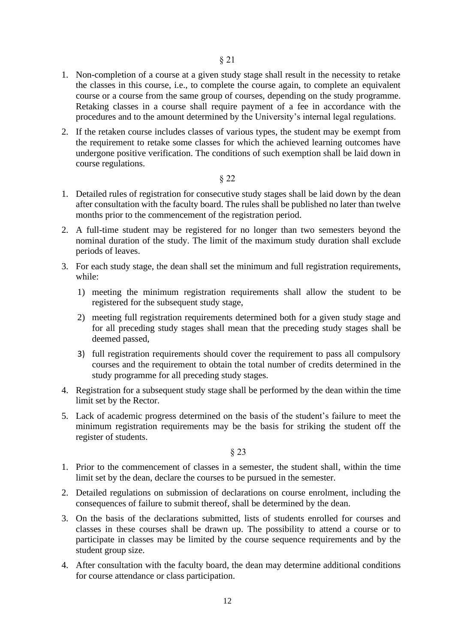- 1. Non-completion of a course at a given study stage shall result in the necessity to retake the classes in this course, i.e., to complete the course again, to complete an equivalent course or a course from the same group of courses, depending on the study programme. Retaking classes in a course shall require payment of a fee in accordance with the procedures and to the amount determined by the University's internal legal regulations.
- 2. If the retaken course includes classes of various types, the student may be exempt from the requirement to retake some classes for which the achieved learning outcomes have undergone positive verification. The conditions of such exemption shall be laid down in course regulations.

- 1. Detailed rules of registration for consecutive study stages shall be laid down by the dean after consultation with the faculty board. The rules shall be published no later than twelve months prior to the commencement of the registration period.
- 2. A full-time student may be registered for no longer than two semesters beyond the nominal duration of the study. The limit of the maximum study duration shall exclude periods of leaves.
- 3. For each study stage, the dean shall set the minimum and full registration requirements, while:
	- 1) meeting the minimum registration requirements shall allow the student to be registered for the subsequent study stage,
	- 2) meeting full registration requirements determined both for a given study stage and for all preceding study stages shall mean that the preceding study stages shall be deemed passed,
	- 3) full registration requirements should cover the requirement to pass all compulsory courses and the requirement to obtain the total number of credits determined in the study programme for all preceding study stages.
- 4. Registration for a subsequent study stage shall be performed by the dean within the time limit set by the Rector.
- 5. Lack of academic progress determined on the basis of the student's failure to meet the minimum registration requirements may be the basis for striking the student off the register of students.

- 1. Prior to the commencement of classes in a semester, the student shall, within the time limit set by the dean, declare the courses to be pursued in the semester.
- 2. Detailed regulations on submission of declarations on course enrolment, including the consequences of failure to submit thereof, shall be determined by the dean.
- 3. On the basis of the declarations submitted, lists of students enrolled for courses and classes in these courses shall be drawn up. The possibility to attend a course or to participate in classes may be limited by the course sequence requirements and by the student group size.
- 4. After consultation with the faculty board, the dean may determine additional conditions for course attendance or class participation.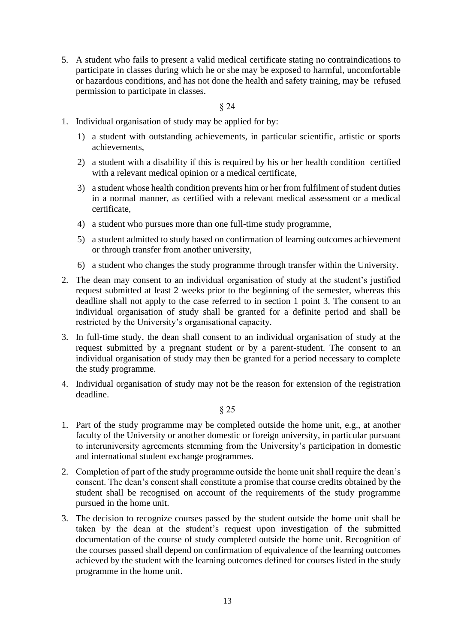5. A student who fails to present a valid medical certificate stating no contraindications to participate in classes during which he or she may be exposed to harmful, uncomfortable or hazardous conditions, and has not done the health and safety training, may be refused permission to participate in classes.

§ 24

- 1. Individual organisation of study may be applied for by:
	- 1) a student with outstanding achievements, in particular scientific, artistic or sports achievements,
	- 2) a student with a disability if this is required by his or her health condition certified with a relevant medical opinion or a medical certificate,
	- 3) a student whose health condition prevents him or her from fulfilment of student duties in a normal manner, as certified with a relevant medical assessment or a medical certificate,
	- 4) a student who pursues more than one full-time study programme,
	- 5) a student admitted to study based on confirmation of learning outcomes achievement or through transfer from another university,
	- 6) a student who changes the study programme through transfer within the University.
- 2. The dean may consent to an individual organisation of study at the student's justified request submitted at least 2 weeks prior to the beginning of the semester, whereas this deadline shall not apply to the case referred to in section 1 point 3. The consent to an individual organisation of study shall be granted for a definite period and shall be restricted by the University's organisational capacity.
- 3. In full-time study, the dean shall consent to an individual organisation of study at the request submitted by a pregnant student or by a parent-student. The consent to an individual organisation of study may then be granted for a period necessary to complete the study programme.
- 4. Individual organisation of study may not be the reason for extension of the registration deadline.

- 1. Part of the study programme may be completed outside the home unit, e.g., at another faculty of the University or another domestic or foreign university, in particular pursuant to interuniversity agreements stemming from the University's participation in domestic and international student exchange programmes.
- 2. Completion of part of the study programme outside the home unit shall require the dean's consent. The dean's consent shall constitute a promise that course credits obtained by the student shall be recognised on account of the requirements of the study programme pursued in the home unit.
- 3. The decision to recognize courses passed by the student outside the home unit shall be taken by the dean at the student's request upon investigation of the submitted documentation of the course of study completed outside the home unit. Recognition of the courses passed shall depend on confirmation of equivalence of the learning outcomes achieved by the student with the learning outcomes defined for courses listed in the study programme in the home unit.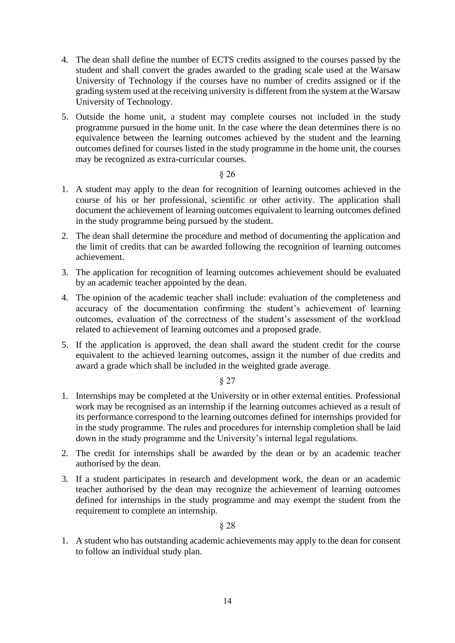- 4. The dean shall define the number of ECTS credits assigned to the courses passed by the student and shall convert the grades awarded to the grading scale used at the Warsaw University of Technology if the courses have no number of credits assigned or if the grading system used at the receiving university is different from the system at the Warsaw University of Technology.
- 5. Outside the home unit, a student may complete courses not included in the study programme pursued in the home unit. In the case where the dean determines there is no equivalence between the learning outcomes achieved by the student and the learning outcomes defined for courses listed in the study programme in the home unit, the courses may be recognized as extra-curricular courses.

- 1. A student may apply to the dean for recognition of learning outcomes achieved in the course of his or her professional, scientific or other activity. The application shall document the achievement of learning outcomes equivalent to learning outcomes defined in the study programme being pursued by the student.
- 2. The dean shall determine the procedure and method of documenting the application and the limit of credits that can be awarded following the recognition of learning outcomes achievement.
- 3. The application for recognition of learning outcomes achievement should be evaluated by an academic teacher appointed by the dean.
- 4. The opinion of the academic teacher shall include: evaluation of the completeness and accuracy of the documentation confirming the student's achievement of learning outcomes, evaluation of the correctness of the student's assessment of the workload related to achievement of learning outcomes and a proposed grade.
- 5. If the application is approved, the dean shall award the student credit for the course equivalent to the achieved learning outcomes, assign it the number of due credits and award a grade which shall be included in the weighted grade average.

### § 27

- 1. Internships may be completed at the University or in other external entities. Professional work may be recognised as an internship if the learning outcomes achieved as a result of its performance correspond to the learning outcomes defined for internships provided for in the study programme. The rules and procedures for internship completion shall be laid down in the study programme and the University's internal legal regulations.
- 2. The credit for internships shall be awarded by the dean or by an academic teacher authorised by the dean.
- 3. If a student participates in research and development work, the dean or an academic teacher authorised by the dean may recognize the achievement of learning outcomes defined for internships in the study programme and may exempt the student from the requirement to complete an internship.

#### § 28

1. A student who has outstanding academic achievements may apply to the dean for consent to follow an individual study plan.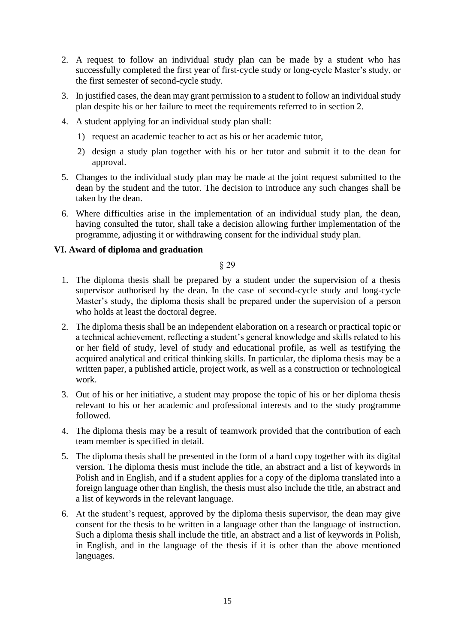- 2. A request to follow an individual study plan can be made by a student who has successfully completed the first year of first-cycle study or long-cycle Master's study, or the first semester of second-cycle study.
- 3. In justified cases, the dean may grant permission to a student to follow an individual study plan despite his or her failure to meet the requirements referred to in section 2.
- 4. A student applying for an individual study plan shall:
	- 1) request an academic teacher to act as his or her academic tutor,
	- 2) design a study plan together with his or her tutor and submit it to the dean for approval.
- 5. Changes to the individual study plan may be made at the joint request submitted to the dean by the student and the tutor. The decision to introduce any such changes shall be taken by the dean.
- 6. Where difficulties arise in the implementation of an individual study plan, the dean, having consulted the tutor, shall take a decision allowing further implementation of the programme, adjusting it or withdrawing consent for the individual study plan.

# **VI. Award of diploma and graduation**

- 1. The diploma thesis shall be prepared by a student under the supervision of a thesis supervisor authorised by the dean. In the case of second-cycle study and long-cycle Master's study, the diploma thesis shall be prepared under the supervision of a person who holds at least the doctoral degree.
- 2. The diploma thesis shall be an independent elaboration on a research or practical topic or a technical achievement, reflecting a student's general knowledge and skills related to his or her field of study, level of study and educational profile, as well as testifying the acquired analytical and critical thinking skills. In particular, the diploma thesis may be a written paper, a published article, project work, as well as a construction or technological work.
- 3. Out of his or her initiative, a student may propose the topic of his or her diploma thesis relevant to his or her academic and professional interests and to the study programme followed.
- 4. The diploma thesis may be a result of teamwork provided that the contribution of each team member is specified in detail.
- 5. The diploma thesis shall be presented in the form of a hard copy together with its digital version. The diploma thesis must include the title, an abstract and a list of keywords in Polish and in English, and if a student applies for a copy of the diploma translated into a foreign language other than English, the thesis must also include the title, an abstract and a list of keywords in the relevant language.
- 6. At the student's request, approved by the diploma thesis supervisor, the dean may give consent for the thesis to be written in a language other than the language of instruction. Such a diploma thesis shall include the title, an abstract and a list of keywords in Polish, in English, and in the language of the thesis if it is other than the above mentioned languages.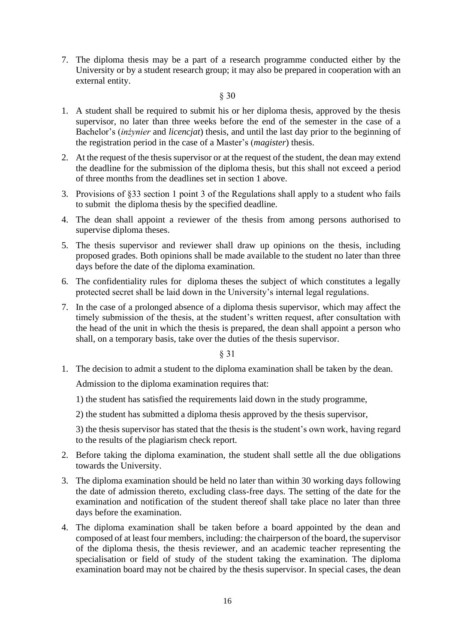7. The diploma thesis may be a part of a research programme conducted either by the University or by a student research group; it may also be prepared in cooperation with an external entity.

#### § 30

- 1. A student shall be required to submit his or her diploma thesis, approved by the thesis supervisor, no later than three weeks before the end of the semester in the case of a Bachelor's (*inżynier* and *licencjat*) thesis, and until the last day prior to the beginning of the registration period in the case of a Master's (*magister*) thesis.
- 2. At the request of the thesis supervisor or at the request of the student, the dean may extend the deadline for the submission of the diploma thesis, but this shall not exceed a period of three months from the deadlines set in section 1 above.
- 3. Provisions of §33 section 1 point 3 of the Regulations shall apply to a student who fails to submit the diploma thesis by the specified deadline.
- 4. The dean shall appoint a reviewer of the thesis from among persons authorised to supervise diploma theses.
- 5. The thesis supervisor and reviewer shall draw up opinions on the thesis, including proposed grades. Both opinions shall be made available to the student no later than three days before the date of the diploma examination.
- 6. The confidentiality rules for diploma theses the subject of which constitutes a legally protected secret shall be laid down in the University's internal legal regulations.
- 7. In the case of a prolonged absence of a diploma thesis supervisor, which may affect the timely submission of the thesis, at the student's written request, after consultation with the head of the unit in which the thesis is prepared, the dean shall appoint a person who shall, on a temporary basis, take over the duties of the thesis supervisor.

§ 31

1. The decision to admit a student to the diploma examination shall be taken by the dean.

Admission to the diploma examination requires that:

1) the student has satisfied the requirements laid down in the study programme,

2) the student has submitted a diploma thesis approved by the thesis supervisor,

3) the thesis supervisor has stated that the thesis is the student's own work, having regard to the results of the plagiarism check report.

- 2. Before taking the diploma examination, the student shall settle all the due obligations towards the University.
- 3. The diploma examination should be held no later than within 30 working days following the date of admission thereto, excluding class-free days. The setting of the date for the examination and notification of the student thereof shall take place no later than three days before the examination.
- 4. The diploma examination shall be taken before a board appointed by the dean and composed of at least four members, including: the chairperson of the board, the supervisor of the diploma thesis, the thesis reviewer, and an academic teacher representing the specialisation or field of study of the student taking the examination. The diploma examination board may not be chaired by the thesis supervisor. In special cases, the dean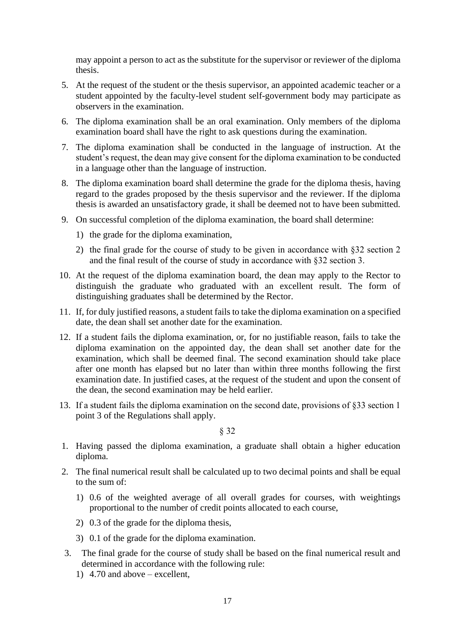may appoint a person to act as the substitute for the supervisor or reviewer of the diploma thesis.

- 5. At the request of the student or the thesis supervisor, an appointed academic teacher or a student appointed by the faculty-level student self-government body may participate as observers in the examination.
- 6. The diploma examination shall be an oral examination. Only members of the diploma examination board shall have the right to ask questions during the examination.
- 7. The diploma examination shall be conducted in the language of instruction. At the student's request, the dean may give consent for the diploma examination to be conducted in a language other than the language of instruction.
- 8. The diploma examination board shall determine the grade for the diploma thesis, having regard to the grades proposed by the thesis supervisor and the reviewer. If the diploma thesis is awarded an unsatisfactory grade, it shall be deemed not to have been submitted.
- 9. On successful completion of the diploma examination, the board shall determine:
	- 1) the grade for the diploma examination,
	- 2) the final grade for the course of study to be given in accordance with §32 section 2 and the final result of the course of study in accordance with §32 section 3.
- 10. At the request of the diploma examination board, the dean may apply to the Rector to distinguish the graduate who graduated with an excellent result. The form of distinguishing graduates shall be determined by the Rector.
- 11. If, for duly justified reasons, a student fails to take the diploma examination on a specified date, the dean shall set another date for the examination.
- 12. If a student fails the diploma examination, or, for no justifiable reason, fails to take the diploma examination on the appointed day, the dean shall set another date for the examination, which shall be deemed final. The second examination should take place after one month has elapsed but no later than within three months following the first examination date. In justified cases, at the request of the student and upon the consent of the dean, the second examination may be held earlier.
- 13. If a student fails the diploma examination on the second date, provisions of §33 section 1 point 3 of the Regulations shall apply.

- 1. Having passed the diploma examination, a graduate shall obtain a higher education diploma.
- 2. The final numerical result shall be calculated up to two decimal points and shall be equal to the sum of:
	- 1) 0.6 of the weighted average of all overall grades for courses, with weightings proportional to the number of credit points allocated to each course,
	- 2) 0.3 of the grade for the diploma thesis,
	- 3) 0.1 of the grade for the diploma examination.
- 3. The final grade for the course of study shall be based on the final numerical result and determined in accordance with the following rule:
	- 1) 4.70 and above excellent,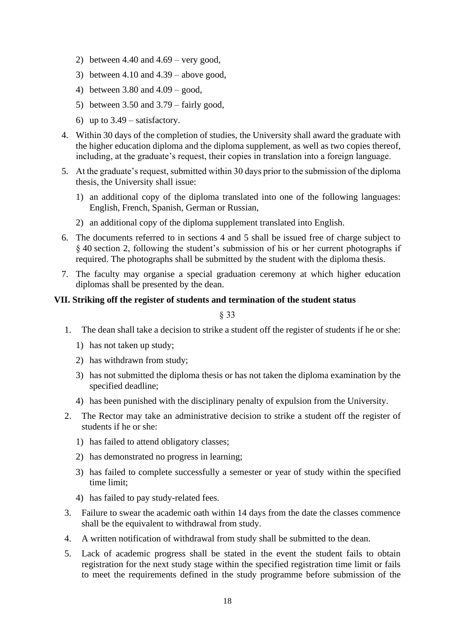- 2) between 4.40 and  $4.69$  very good,
- 3) between  $4.10$  and  $4.39$  above good,
- 4) between 3.80 and 4.09 good,
- 5) between 3.50 and 3.79 fairly good,
- 6) up to  $3.49$  satisfactory.
- 4. Within 30 days of the completion of studies, the University shall award the graduate with the higher education diploma and the diploma supplement, as well as two copies thereof, including, at the graduate's request, their copies in translation into a foreign language.
- 5. At the graduate's request, submitted within 30 days prior to the submission of the diploma thesis, the University shall issue:
	- 1) an additional copy of the diploma translated into one of the following languages: English, French, Spanish, German or Russian,
	- 2) an additional copy of the diploma supplement translated into English.
- 6. The documents referred to in sections 4 and 5 shall be issued free of charge subject to § 40 section 2, following the student's submission of his or her current photographs if required. The photographs shall be submitted by the student with the diploma thesis.
- 7. The faculty may organise a special graduation ceremony at which higher education diplomas shall be presented by the dean.

# **VII. Striking off the register of students and termination of the student status**

- 1. The dean shall take a decision to strike a student off the register of students if he or she:
	- 1) has not taken up study;
	- 2) has withdrawn from study;
	- 3) has not submitted the diploma thesis or has not taken the diploma examination by the specified deadline;
	- 4) has been punished with the disciplinary penalty of expulsion from the University.
- 2. The Rector may take an administrative decision to strike a student off the register of students if he or she:
	- 1) has failed to attend obligatory classes;
	- 2) has demonstrated no progress in learning;
	- 3) has failed to complete successfully a semester or year of study within the specified time limit;
	- 4) has failed to pay study-related fees.
- 3. Failure to swear the academic oath within 14 days from the date the classes commence shall be the equivalent to withdrawal from study.
- 4. A written notification of withdrawal from study shall be submitted to the dean.
- 5. Lack of academic progress shall be stated in the event the student fails to obtain registration for the next study stage within the specified registration time limit or fails to meet the requirements defined in the study programme before submission of the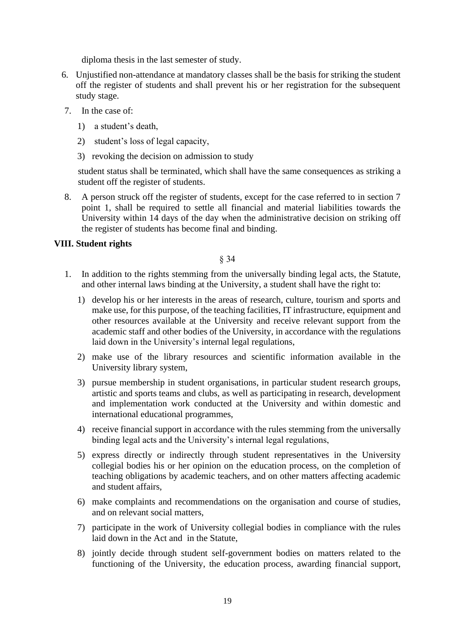diploma thesis in the last semester of study.

- 6. Unjustified non-attendance at mandatory classes shall be the basis for striking the student off the register of students and shall prevent his or her registration for the subsequent study stage.
- 7. In the case of:
	- 1) a student's death,
	- 2) student's loss of legal capacity,
	- 3) revoking the decision on admission to study

student status shall be terminated, which shall have the same consequences as striking a student off the register of students.

8. A person struck off the register of students, except for the case referred to in section 7 point 1, shall be required to settle all financial and material liabilities towards the University within 14 days of the day when the administrative decision on striking off the register of students has become final and binding.

# **VIII. Student rights**

- 1. In addition to the rights stemming from the universally binding legal acts, the Statute, and other internal laws binding at the University, a student shall have the right to:
	- 1) develop his or her interests in the areas of research, culture, tourism and sports and make use, for this purpose, of the teaching facilities, IT infrastructure, equipment and other resources available at the University and receive relevant support from the academic staff and other bodies of the University, in accordance with the regulations laid down in the University's internal legal regulations,
	- 2) make use of the library resources and scientific information available in the University library system,
	- 3) pursue membership in student organisations, in particular student research groups, artistic and sports teams and clubs, as well as participating in research, development and implementation work conducted at the University and within domestic and international educational programmes,
	- 4) receive financial support in accordance with the rules stemming from the universally binding legal acts and the University's internal legal regulations,
	- 5) express directly or indirectly through student representatives in the University collegial bodies his or her opinion on the education process, on the completion of teaching obligations by academic teachers, and on other matters affecting academic and student affairs,
	- 6) make complaints and recommendations on the organisation and course of studies, and on relevant social matters,
	- 7) participate in the work of University collegial bodies in compliance with the rules laid down in the Act and in the Statute,
	- 8) jointly decide through student self-government bodies on matters related to the functioning of the University, the education process, awarding financial support,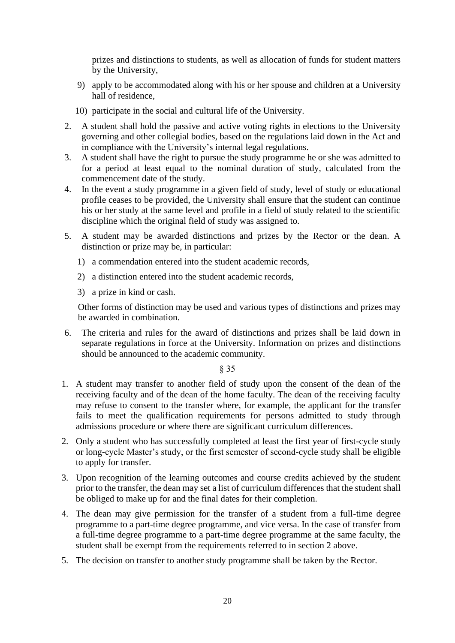prizes and distinctions to students, as well as allocation of funds for student matters by the University,

- 9) apply to be accommodated along with his or her spouse and children at a University hall of residence,
- 10) participate in the social and cultural life of the University.
- 2. A student shall hold the passive and active voting rights in elections to the University governing and other collegial bodies, based on the regulations laid down in the Act and in compliance with the University's internal legal regulations.
- 3. A student shall have the right to pursue the study programme he or she was admitted to for a period at least equal to the nominal duration of study, calculated from the commencement date of the study.
- 4. In the event a study programme in a given field of study, level of study or educational profile ceases to be provided, the University shall ensure that the student can continue his or her study at the same level and profile in a field of study related to the scientific discipline which the original field of study was assigned to.
- 5. A student may be awarded distinctions and prizes by the Rector or the dean. A distinction or prize may be, in particular:
	- 1) a commendation entered into the student academic records,
	- 2) a distinction entered into the student academic records,
	- 3) a prize in kind or cash.

Other forms of distinction may be used and various types of distinctions and prizes may be awarded in combination.

6. The criteria and rules for the award of distinctions and prizes shall be laid down in separate regulations in force at the University. Information on prizes and distinctions should be announced to the academic community.

- 1. A student may transfer to another field of study upon the consent of the dean of the receiving faculty and of the dean of the home faculty. The dean of the receiving faculty may refuse to consent to the transfer where, for example, the applicant for the transfer fails to meet the qualification requirements for persons admitted to study through admissions procedure or where there are significant curriculum differences.
- 2. Only a student who has successfully completed at least the first year of first-cycle study or long-cycle Master's study, or the first semester of second-cycle study shall be eligible to apply for transfer.
- 3. Upon recognition of the learning outcomes and course credits achieved by the student prior to the transfer, the dean may set a list of curriculum differences that the student shall be obliged to make up for and the final dates for their completion.
- 4. The dean may give permission for the transfer of a student from a full-time degree programme to a part-time degree programme, and vice versa. In the case of transfer from a full-time degree programme to a part-time degree programme at the same faculty, the student shall be exempt from the requirements referred to in section 2 above.
- 5. The decision on transfer to another study programme shall be taken by the Rector.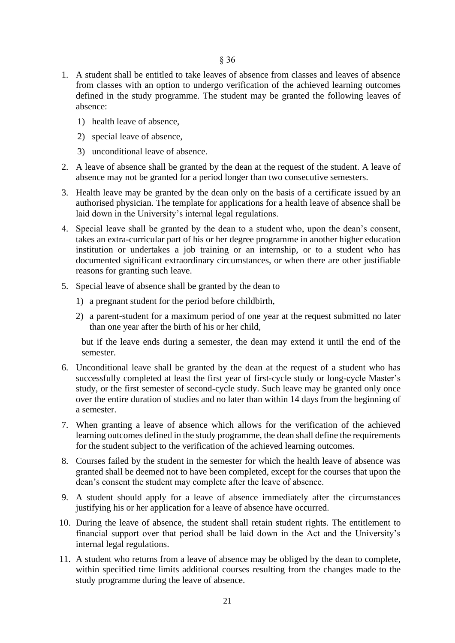- 1. A student shall be entitled to take leaves of absence from classes and leaves of absence from classes with an option to undergo verification of the achieved learning outcomes defined in the study programme. The student may be granted the following leaves of absence:
	- 1) health leave of absence,
	- 2) special leave of absence,
	- 3) unconditional leave of absence.
- 2. A leave of absence shall be granted by the dean at the request of the student. A leave of absence may not be granted for a period longer than two consecutive semesters.
- 3. Health leave may be granted by the dean only on the basis of a certificate issued by an authorised physician. The template for applications for a health leave of absence shall be laid down in the University's internal legal regulations.
- 4. Special leave shall be granted by the dean to a student who, upon the dean's consent, takes an extra-curricular part of his or her degree programme in another higher education institution or undertakes a job training or an internship, or to a student who has documented significant extraordinary circumstances, or when there are other justifiable reasons for granting such leave.
- 5. Special leave of absence shall be granted by the dean to
	- 1) a pregnant student for the period before childbirth,
	- 2) a parent-student for a maximum period of one year at the request submitted no later than one year after the birth of his or her child,

but if the leave ends during a semester, the dean may extend it until the end of the semester.

- 6. Unconditional leave shall be granted by the dean at the request of a student who has successfully completed at least the first year of first-cycle study or long-cycle Master's study, or the first semester of second-cycle study. Such leave may be granted only once over the entire duration of studies and no later than within 14 days from the beginning of a semester.
- 7. When granting a leave of absence which allows for the verification of the achieved learning outcomes defined in the study programme, the dean shall define the requirements for the student subject to the verification of the achieved learning outcomes.
- 8. Courses failed by the student in the semester for which the health leave of absence was granted shall be deemed not to have been completed, except for the courses that upon the dean's consent the student may complete after the leave of absence.
- 9. A student should apply for a leave of absence immediately after the circumstances justifying his or her application for a leave of absence have occurred.
- 10. During the leave of absence, the student shall retain student rights. The entitlement to financial support over that period shall be laid down in the Act and the University's internal legal regulations.
- 11. A student who returns from a leave of absence may be obliged by the dean to complete, within specified time limits additional courses resulting from the changes made to the study programme during the leave of absence.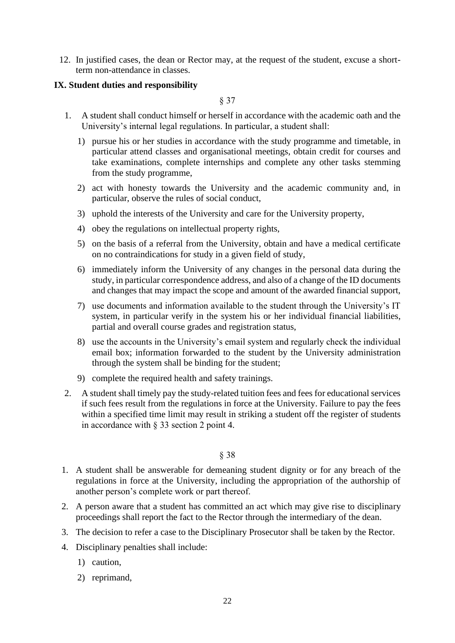12. In justified cases, the dean or Rector may, at the request of the student, excuse a shortterm non-attendance in classes.

# **IX. Student duties and responsibility**

§ 37

- 1. A student shall conduct himself or herself in accordance with the academic oath and the University's internal legal regulations. In particular, a student shall:
	- 1) pursue his or her studies in accordance with the study programme and timetable, in particular attend classes and organisational meetings, obtain credit for courses and take examinations, complete internships and complete any other tasks stemming from the study programme,
	- 2) act with honesty towards the University and the academic community and, in particular, observe the rules of social conduct,
	- 3) uphold the interests of the University and care for the University property,
	- 4) obey the regulations on intellectual property rights,
	- 5) on the basis of a referral from the University, obtain and have a medical certificate on no contraindications for study in a given field of study,
	- 6) immediately inform the University of any changes in the personal data during the study, in particular correspondence address, and also of a change of the ID documents and changes that may impact the scope and amount of the awarded financial support,
	- 7) use documents and information available to the student through the University's IT system, in particular verify in the system his or her individual financial liabilities, partial and overall course grades and registration status,
	- 8) use the accounts in the University's email system and regularly check the individual email box; information forwarded to the student by the University administration through the system shall be binding for the student;
	- 9) complete the required health and safety trainings.
- 2. A student shall timely pay the study-related tuition fees and fees for educational services if such fees result from the regulations in force at the University. Failure to pay the fees within a specified time limit may result in striking a student off the register of students in accordance with § 33 section 2 point 4.

- 1. A student shall be answerable for demeaning student dignity or for any breach of the regulations in force at the University, including the appropriation of the authorship of another person's complete work or part thereof.
- 2. A person aware that a student has committed an act which may give rise to disciplinary proceedings shall report the fact to the Rector through the intermediary of the dean.
- 3. The decision to refer a case to the Disciplinary Prosecutor shall be taken by the Rector.
- 4. Disciplinary penalties shall include:
	- 1) caution,
	- 2) reprimand,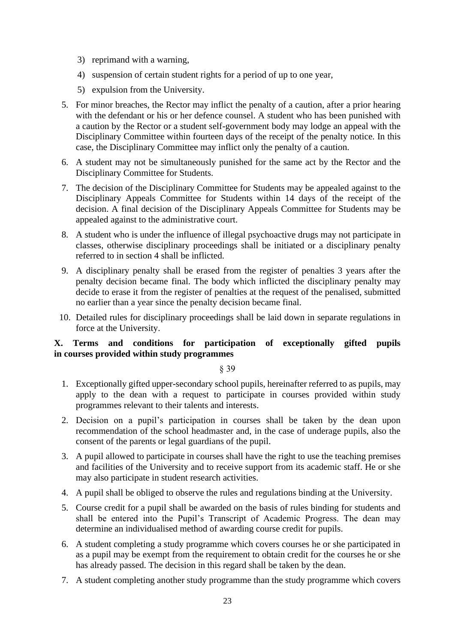- 3) reprimand with a warning,
- 4) suspension of certain student rights for a period of up to one year,
- 5) expulsion from the University.
- 5. For minor breaches, the Rector may inflict the penalty of a caution, after a prior hearing with the defendant or his or her defence counsel. A student who has been punished with a caution by the Rector or a student self-government body may lodge an appeal with the Disciplinary Committee within fourteen days of the receipt of the penalty notice. In this case, the Disciplinary Committee may inflict only the penalty of a caution.
- 6. A student may not be simultaneously punished for the same act by the Rector and the Disciplinary Committee for Students.
- 7. The decision of the Disciplinary Committee for Students may be appealed against to the Disciplinary Appeals Committee for Students within 14 days of the receipt of the decision. A final decision of the Disciplinary Appeals Committee for Students may be appealed against to the administrative court.
- 8. A student who is under the influence of illegal psychoactive drugs may not participate in classes, otherwise disciplinary proceedings shall be initiated or a disciplinary penalty referred to in section 4 shall be inflicted.
- 9. A disciplinary penalty shall be erased from the register of penalties 3 years after the penalty decision became final. The body which inflicted the disciplinary penalty may decide to erase it from the register of penalties at the request of the penalised, submitted no earlier than a year since the penalty decision became final.
- 10. Detailed rules for disciplinary proceedings shall be laid down in separate regulations in force at the University.

# **X. Terms and conditions for participation of exceptionally gifted pupils in courses provided within study programmes**

- 1. Exceptionally gifted upper-secondary school pupils, hereinafter referred to as pupils, may apply to the dean with a request to participate in courses provided within study programmes relevant to their talents and interests.
- 2. Decision on a pupil's participation in courses shall be taken by the dean upon recommendation of the school headmaster and, in the case of underage pupils, also the consent of the parents or legal guardians of the pupil.
- 3. A pupil allowed to participate in courses shall have the right to use the teaching premises and facilities of the University and to receive support from its academic staff. He or she may also participate in student research activities.
- 4. A pupil shall be obliged to observe the rules and regulations binding at the University.
- 5. Course credit for a pupil shall be awarded on the basis of rules binding for students and shall be entered into the Pupil's Transcript of Academic Progress. The dean may determine an individualised method of awarding course credit for pupils.
- 6. A student completing a study programme which covers courses he or she participated in as a pupil may be exempt from the requirement to obtain credit for the courses he or she has already passed. The decision in this regard shall be taken by the dean.
- 7. A student completing another study programme than the study programme which covers